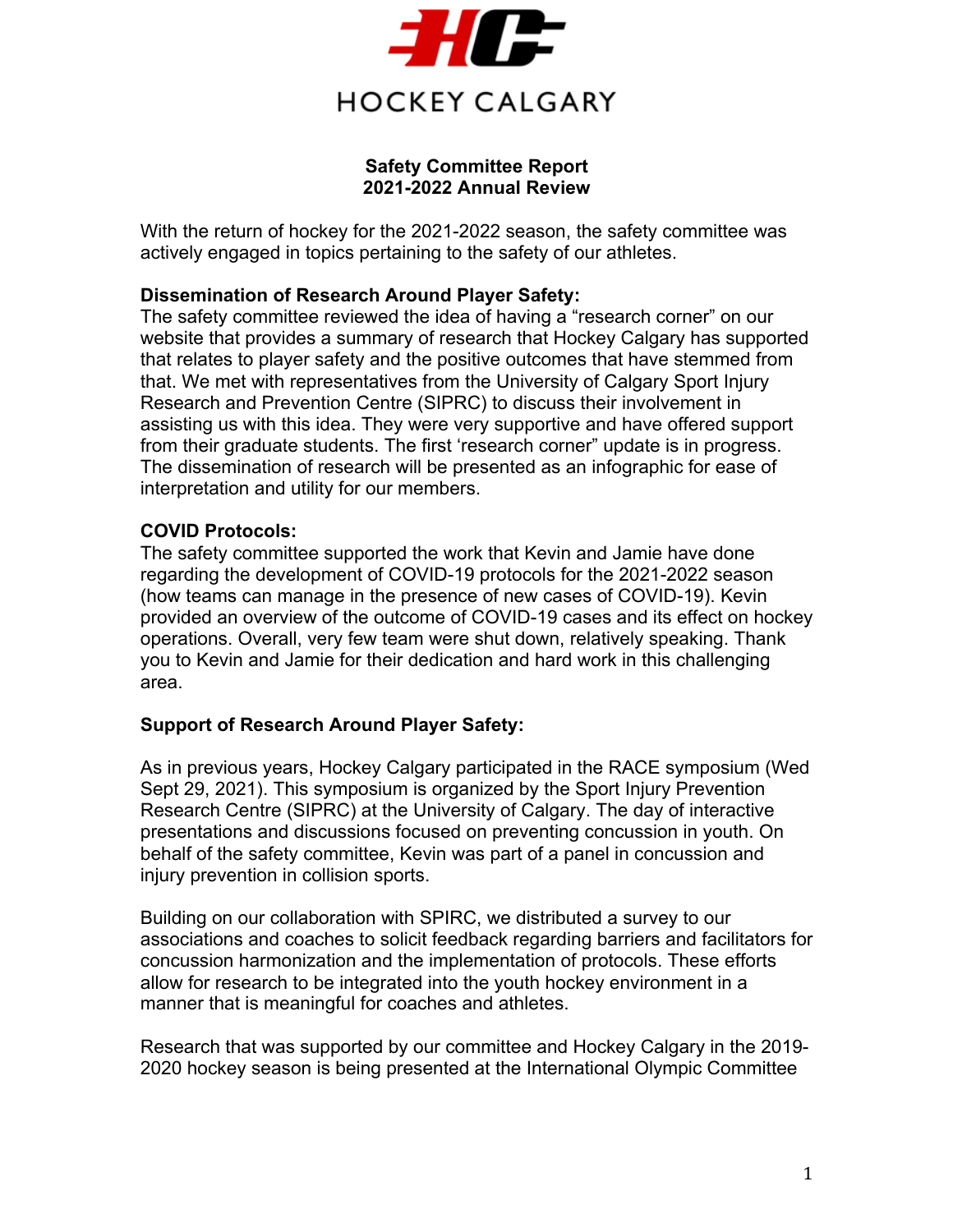

### **Safety Committee Report 2021-2022 Annual Review**

With the return of hockey for the 2021-2022 season, the safety committee was actively engaged in topics pertaining to the safety of our athletes.

### **Dissemination of Research Around Player Safety:**

The safety committee reviewed the idea of having a "research corner" on our website that provides a summary of research that Hockey Calgary has supported that relates to player safety and the positive outcomes that have stemmed from that. We met with representatives from the University of Calgary Sport Injury Research and Prevention Centre (SIPRC) to discuss their involvement in assisting us with this idea. They were very supportive and have offered support from their graduate students. The first 'research corner" update is in progress. The dissemination of research will be presented as an infographic for ease of interpretation and utility for our members.

### **COVID Protocols:**

The safety committee supported the work that Kevin and Jamie have done regarding the development of COVID-19 protocols for the 2021-2022 season (how teams can manage in the presence of new cases of COVID-19). Kevin provided an overview of the outcome of COVID-19 cases and its effect on hockey operations. Overall, very few team were shut down, relatively speaking. Thank you to Kevin and Jamie for their dedication and hard work in this challenging area.

### **Support of Research Around Player Safety:**

As in previous years, Hockey Calgary participated in the RACE symposium (Wed Sept 29, 2021). This symposium is organized by the Sport Injury Prevention Research Centre (SIPRC) at the University of Calgary. The day of interactive presentations and discussions focused on preventing concussion in youth. On behalf of the safety committee, Kevin was part of a panel in concussion and injury prevention in collision sports.

Building on our collaboration with SPIRC, we distributed a survey to our associations and coaches to solicit feedback regarding barriers and facilitators for concussion harmonization and the implementation of protocols. These efforts allow for research to be integrated into the youth hockey environment in a manner that is meaningful for coaches and athletes.

Research that was supported by our committee and Hockey Calgary in the 2019- 2020 hockey season is being presented at the International Olympic Committee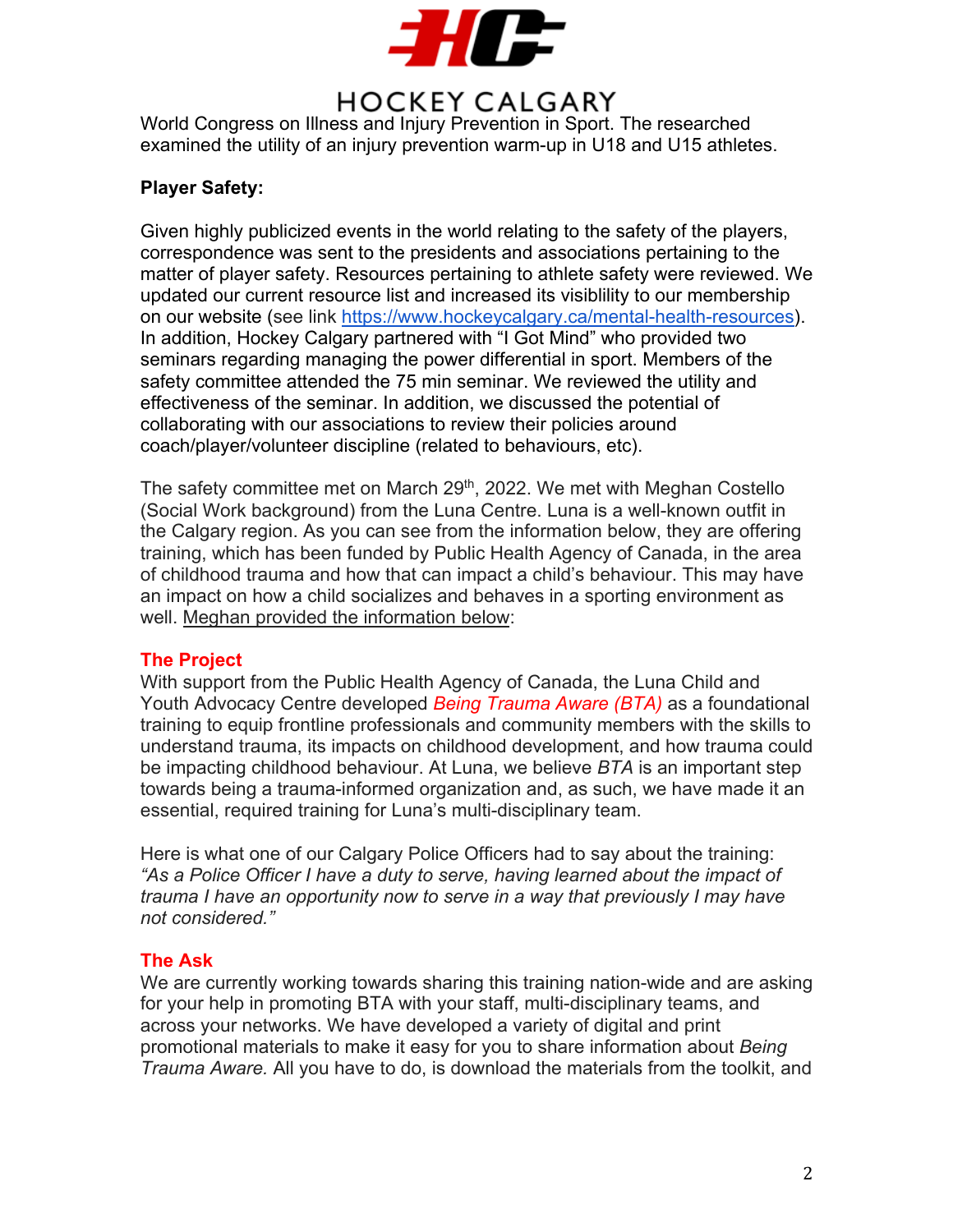

# **HOCKEY CALGARY**

World Congress on Illness and Injury Prevention in Sport. The researched examined the utility of an injury prevention warm-up in U18 and U15 athletes.

### **Player Safety:**

Given highly publicized events in the world relating to the safety of the players, correspondence was sent to the presidents and associations pertaining to the matter of player safety. Resources pertaining to athlete safety were reviewed. We updated our current resource list and increased its visiblility to our membership on our website (see link https://www.hockeycalgary.ca/mental-health-resources). In addition, Hockey Calgary partnered with "I Got Mind" who provided two seminars regarding managing the power differential in sport. Members of the safety committee attended the 75 min seminar. We reviewed the utility and effectiveness of the seminar. In addition, we discussed the potential of collaborating with our associations to review their policies around coach/player/volunteer discipline (related to behaviours, etc).

The safety committee met on March 29<sup>th</sup>, 2022. We met with Meghan Costello (Social Work background) from the Luna Centre. Luna is a well-known outfit in the Calgary region. As you can see from the information below, they are offering training, which has been funded by Public Health Agency of Canada, in the area of childhood trauma and how that can impact a child's behaviour. This may have an impact on how a child socializes and behaves in a sporting environment as well. Meghan provided the information below:

### **The Project**

With support from the Public Health Agency of Canada, the Luna Child and Youth Advocacy Centre developed *Being Trauma Aware (BTA)* as a foundational training to equip frontline professionals and community members with the skills to understand trauma, its impacts on childhood development, and how trauma could be impacting childhood behaviour. At Luna, we believe *BTA* is an important step towards being a trauma-informed organization and, as such, we have made it an essential, required training for Luna's multi-disciplinary team.

Here is what one of our Calgary Police Officers had to say about the training: *"As a Police Officer I have a duty to serve, having learned about the impact of trauma I have an opportunity now to serve in a way that previously I may have not considered."*

#### **The Ask**

We are currently working towards sharing this training nation-wide and are asking for your help in promoting BTA with your staff, multi-disciplinary teams, and across your networks. We have developed a variety of digital and print promotional materials to make it easy for you to share information about *Being Trauma Aware.* All you have to do, is download the materials from the toolkit, and